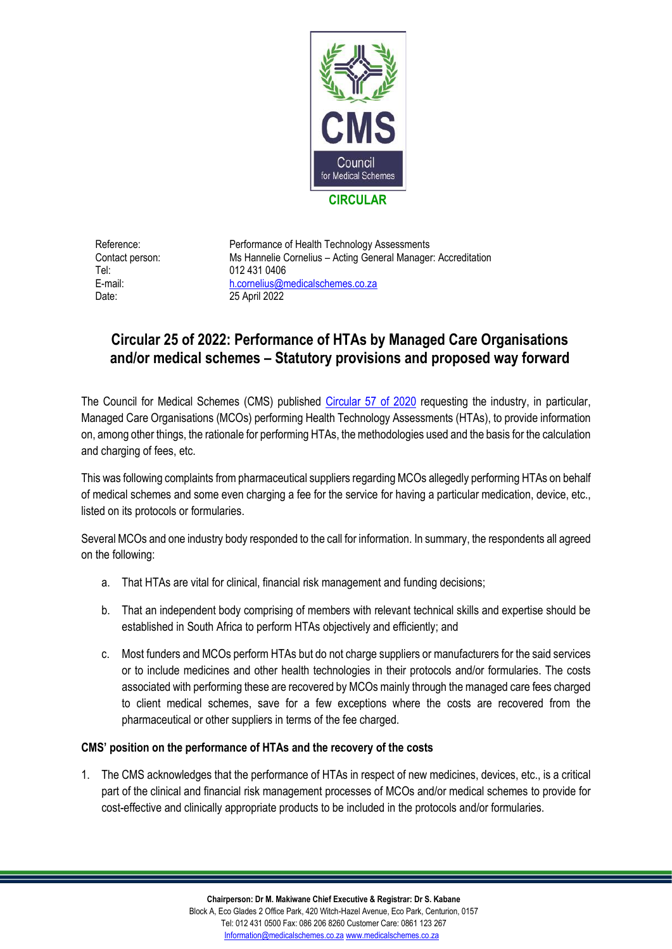

Tel: 012 431 0406 Date: 25 April 2022

Reference: Performance of Health Technology Assessments Contact person: Ms Hannelie Cornelius – Acting General Manager: Accreditation E-mail: [h.cornelius@medicalschemes.co.za](mailto:h.cornelius@medicalschemes.co.za)

## **Circular 25 of 2022: Performance of HTAs by Managed Care Organisations and/or medical schemes – Statutory provisions and proposed way forward**

The Council for Medical Schemes (CMS) published [Circular 57 of 2020](https://www.medicalschemes.co.za/download/2559/2020-circulars-archive/21197/circular57of2020.pdf) requesting the industry, in particular, Managed Care Organisations (MCOs) performing Health Technology Assessments (HTAs), to provide information on, among other things, the rationale for performing HTAs, the methodologies used and the basis for the calculation and charging of fees, etc.

This was following complaints from pharmaceutical suppliers regarding MCOs allegedly performing HTAs on behalf of medical schemes and some even charging a fee for the service for having a particular medication, device, etc., listed on its protocols or formularies.

Several MCOs and one industry body responded to the call for information. In summary, the respondents all agreed on the following:

- a. That HTAs are vital for clinical, financial risk management and funding decisions;
- b. That an independent body comprising of members with relevant technical skills and expertise should be established in South Africa to perform HTAs objectively and efficiently; and
- c. Most funders and MCOs perform HTAs but do not charge suppliers or manufacturers for the said services or to include medicines and other health technologies in their protocols and/or formularies. The costs associated with performing these are recovered by MCOs mainly through the managed care fees charged to client medical schemes, save for a few exceptions where the costs are recovered from the pharmaceutical or other suppliers in terms of the fee charged.

## **CMS' position on the performance of HTAs and the recovery of the costs**

1. The CMS acknowledges that the performance of HTAs in respect of new medicines, devices, etc., is a critical part of the clinical and financial risk management processes of MCOs and/or medical schemes to provide for cost-effective and clinically appropriate products to be included in the protocols and/or formularies.

**Chairperson: Dr M. Makiwane Chief Executive & Registrar: Dr S. Kabane**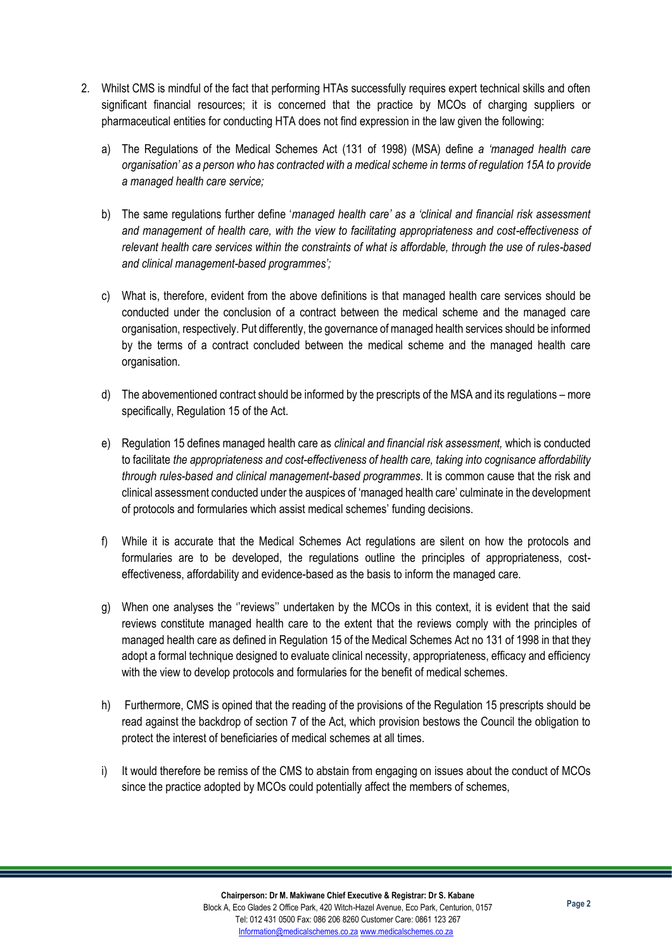- 2. Whilst CMS is mindful of the fact that performing HTAs successfully requires expert technical skills and often significant financial resources; it is concerned that the practice by MCOs of charging suppliers or pharmaceutical entities for conducting HTA does not find expression in the law given the following:
	- a) The Regulations of the Medical Schemes Act (131 of 1998) (MSA) define *a 'managed health care organisation' as a person who has contracted with a medical scheme in terms of regulation 15A to provide a managed health care service;*
	- b) The same regulations further define '*managed health care' as a 'clinical and financial risk assessment and management of health care, with the view to facilitating appropriateness and cost-effectiveness of relevant health care services within the constraints of what is affordable, through the use of rules-based and clinical management-based programmes';*
	- c) What is, therefore, evident from the above definitions is that managed health care services should be conducted under the conclusion of a contract between the medical scheme and the managed care organisation, respectively. Put differently, the governance of managed health services should be informed by the terms of a contract concluded between the medical scheme and the managed health care organisation.
	- d) The abovementioned contract should be informed by the prescripts of the MSA and its regulations more specifically, Regulation 15 of the Act.
	- e) Regulation 15 defines managed health care as *clinical and financial risk assessment,* which is conducted to facilitate *the appropriateness and cost-effectiveness of health care, taking into cognisance affordability through rules-based and clinical management-based programmes*. It is common cause that the risk and clinical assessment conducted under the auspices of 'managed health care' culminate in the development of protocols and formularies which assist medical schemes' funding decisions.
	- f) While it is accurate that the Medical Schemes Act regulations are silent on how the protocols and formularies are to be developed, the regulations outline the principles of appropriateness, costeffectiveness, affordability and evidence-based as the basis to inform the managed care.
	- g) When one analyses the ''reviews'' undertaken by the MCOs in this context, it is evident that the said reviews constitute managed health care to the extent that the reviews comply with the principles of managed health care as defined in Regulation 15 of the Medical Schemes Act no 131 of 1998 in that they adopt a formal technique designed to evaluate clinical necessity, appropriateness, efficacy and efficiency with the view to develop protocols and formularies for the benefit of medical schemes.
	- h) Furthermore, CMS is opined that the reading of the provisions of the Regulation 15 prescripts should be read against the backdrop of section 7 of the Act, which provision bestows the Council the obligation to protect the interest of beneficiaries of medical schemes at all times.
	- i) It would therefore be remiss of the CMS to abstain from engaging on issues about the conduct of MCOs since the practice adopted by MCOs could potentially affect the members of schemes,